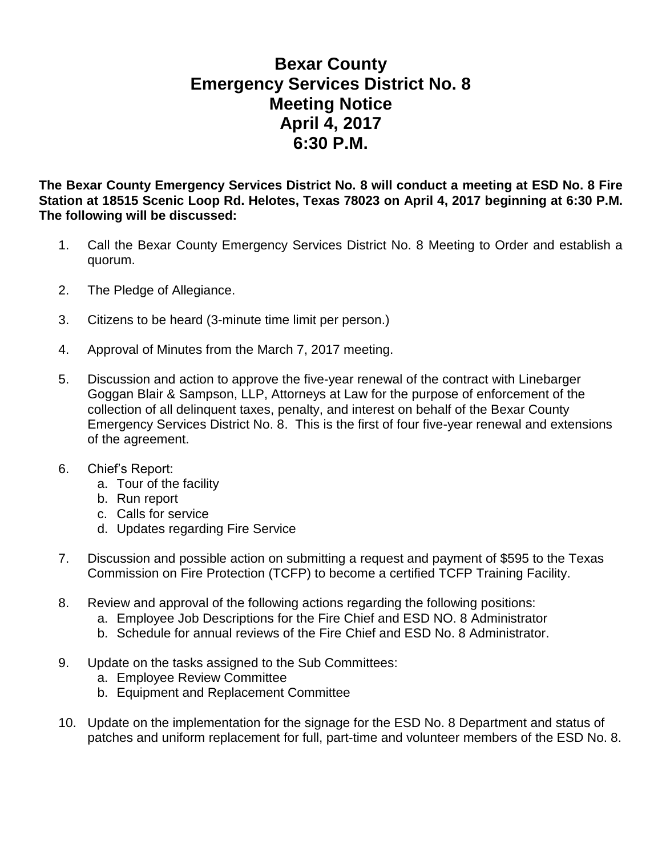## **Bexar County Emergency Services District No. 8 Meeting Notice April 4, 2017 6:30 P.M.**

**The Bexar County Emergency Services District No. 8 will conduct a meeting at ESD No. 8 Fire Station at 18515 Scenic Loop Rd. Helotes, Texas 78023 on April 4, 2017 beginning at 6:30 P.M. The following will be discussed:**

- 1. Call the Bexar County Emergency Services District No. 8 Meeting to Order and establish a quorum.
- 2. The Pledge of Allegiance.
- 3. Citizens to be heard (3-minute time limit per person.)
- 4. Approval of Minutes from the March 7, 2017 meeting.
- 5. Discussion and action to approve the five-year renewal of the contract with Linebarger Goggan Blair & Sampson, LLP, Attorneys at Law for the purpose of enforcement of the collection of all delinquent taxes, penalty, and interest on behalf of the Bexar County Emergency Services District No. 8. This is the first of four five-year renewal and extensions of the agreement.
- 6. Chief's Report:
	- a. Tour of the facility
	- b. Run report
	- c. Calls for service
	- d. Updates regarding Fire Service
- 7. Discussion and possible action on submitting a request and payment of \$595 to the Texas Commission on Fire Protection (TCFP) to become a certified TCFP Training Facility.
- 8. Review and approval of the following actions regarding the following positions:
	- a. Employee Job Descriptions for the Fire Chief and ESD NO. 8 Administrator
	- b. Schedule for annual reviews of the Fire Chief and ESD No. 8 Administrator.
- 9. Update on the tasks assigned to the Sub Committees:
	- a. Employee Review Committee
	- b. Equipment and Replacement Committee
- 10. Update on the implementation for the signage for the ESD No. 8 Department and status of patches and uniform replacement for full, part-time and volunteer members of the ESD No. 8.